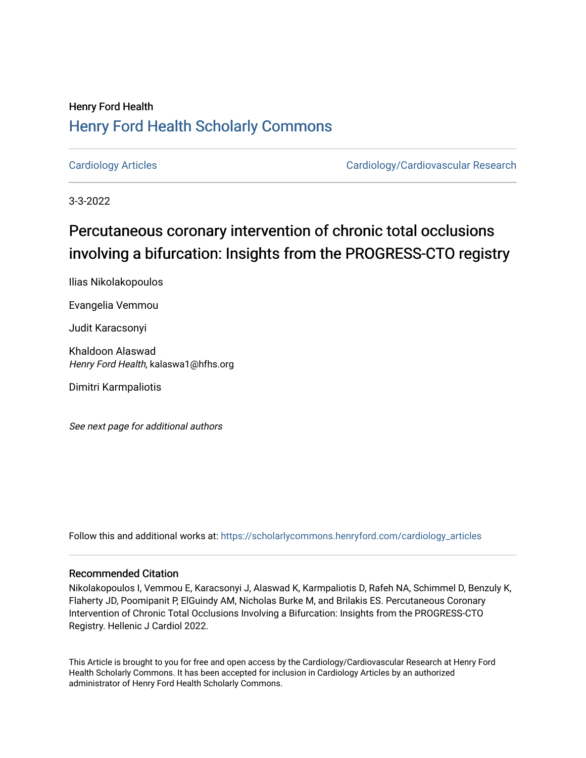# Henry Ford Health [Henry Ford Health Scholarly Commons](https://scholarlycommons.henryford.com/)

[Cardiology Articles](https://scholarlycommons.henryford.com/cardiology_articles) [Cardiology/Cardiovascular Research](https://scholarlycommons.henryford.com/cardiology) 

3-3-2022

# Percutaneous coronary intervention of chronic total occlusions involving a bifurcation: Insights from the PROGRESS-CTO registry

Ilias Nikolakopoulos

Evangelia Vemmou

Judit Karacsonyi

Khaldoon Alaswad Henry Ford Health, kalaswa1@hfhs.org

Dimitri Karmpaliotis

See next page for additional authors

Follow this and additional works at: [https://scholarlycommons.henryford.com/cardiology\\_articles](https://scholarlycommons.henryford.com/cardiology_articles?utm_source=scholarlycommons.henryford.com%2Fcardiology_articles%2F899&utm_medium=PDF&utm_campaign=PDFCoverPages)

### Recommended Citation

Nikolakopoulos I, Vemmou E, Karacsonyi J, Alaswad K, Karmpaliotis D, Rafeh NA, Schimmel D, Benzuly K, Flaherty JD, Poomipanit P, ElGuindy AM, Nicholas Burke M, and Brilakis ES. Percutaneous Coronary Intervention of Chronic Total Occlusions Involving a Bifurcation: Insights from the PROGRESS-CTO Registry. Hellenic J Cardiol 2022.

This Article is brought to you for free and open access by the Cardiology/Cardiovascular Research at Henry Ford Health Scholarly Commons. It has been accepted for inclusion in Cardiology Articles by an authorized administrator of Henry Ford Health Scholarly Commons.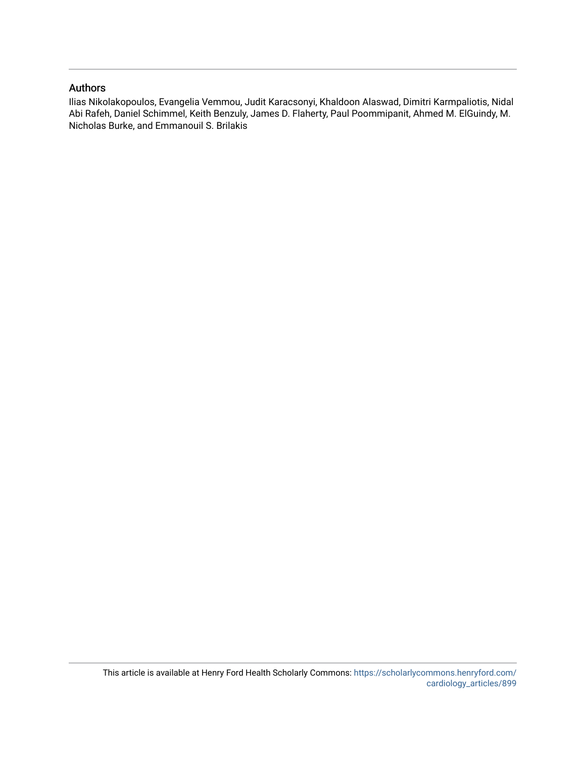### Authors

Ilias Nikolakopoulos, Evangelia Vemmou, Judit Karacsonyi, Khaldoon Alaswad, Dimitri Karmpaliotis, Nidal Abi Rafeh, Daniel Schimmel, Keith Benzuly, James D. Flaherty, Paul Poommipanit, Ahmed M. ElGuindy, M. Nicholas Burke, and Emmanouil S. Brilakis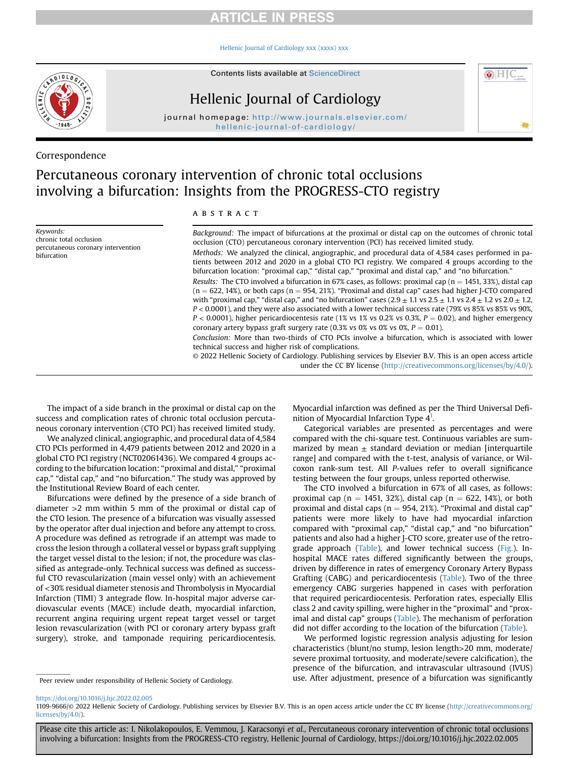### **ARTICLE IN PRESS**

#### [Hellenic Journal of Cardiology xxx \(xxxx\) xxx](https://doi.org/10.1016/j.hjc.2022.02.005)





# Hellenic Journal of Cardiology

journal homepage: [http://www.journals.elsevier.com/](http://www.journals.elsevier.com/hellenic-journal-of-cardiology/) [hellenic-journal-of-cardiology/](http://www.journals.elsevier.com/hellenic-journal-of-cardiology/)

### Correspondence

# Percutaneous coronary intervention of chronic total occlusions involving a bifurcation: Insights from the PROGRESS-CTO registry

Keywords: chronic total occlusion percutaneous coronary intervention bifurcation

#### ABSTRACT

Background: The impact of bifurcations at the proximal or distal cap on the outcomes of chronic total occlusion (CTO) percutaneous coronary intervention (PCI) has received limited study. Methods: We analyzed the clinical, angiographic, and procedural data of 4,584 cases performed in patients between 2012 and 2020 in a global CTO PCI registry. We compared 4 groups according to the bifurcation location: "proximal cap," "distal cap," "proximal and distal cap," and "no bifurcation." Results: The CTO involved a bifurcation in 67% cases, as follows: proximal cap ( $n = 1451, 33\%$ ), distal cap  $(n = 622, 14%)$ , or both caps  $(n = 954, 21%)$ . "Proximal and distal cap" cases had higher J-CTO compared with "proximal cap," "distal cap," and "no bifurcation" cases  $(2.9 \pm 1.1 \text{ vs } 2.5 \pm 1.1 \text{ vs } 2.4 \pm 1.2 \text{ vs } 2.0 \pm 1.2,$ P < 0.0001), and they were also associated with a lower technical success rate (79% vs 85% vs 85% vs 90%,  $P < 0.0001$ ), higher pericardiocentesis rate (1% vs 1% vs 0.2% vs 0.3%,  $P = 0.02$ ), and higher emergency coronary artery bypass graft surgery rate (0.3% vs 0% vs 0% vs 0%,  $P = 0.01$ ). Conclusion: More than two-thirds of CTO PCIs involve a bifurcation, which is associated with lower

technical success and higher risk of complications. © 2022 Hellenic Society of Cardiology. Publishing services by Elsevier B.V. This is an open access article under the CC BY license [\(http://creativecommons.org/licenses/by/4.0/](http://creativecommons.org/licenses/by/4.0/)).

The impact of a side branch in the proximal or distal cap on the success and complication rates of chronic total occlusion percutaneous coronary intervention (CTO PCI) has received limited study.

We analyzed clinical, angiographic, and procedural data of 4,584 CTO PCIs performed in 4,479 patients between 2012 and 2020 in a global CTO PCI registry (NCT02061436). We compared 4 groups according to the bifurcation location: "proximal and distal," "proximal cap," "distal cap," and "no bifurcation." The study was approved by the Institutional Review Board of each center.

Bifurcations were defined by the presence of a side branch of diameter >2 mm within 5 mm of the proximal or distal cap of the CTO lesion. The presence of a bifurcation was visually assessed by the operator after dual injection and before any attempt to cross. A procedure was defined as retrograde if an attempt was made to cross the lesion through a collateral vessel or bypass graft supplying the target vessel distal to the lesion; if not, the procedure was classified as antegrade-only. Technical success was defined as successful CTO revascularization (main vessel only) with an achievement of <30% residual diameter stenosis and Thrombolysis in Myocardial Infarction (TIMI) 3 antegrade flow. In-hospital major adverse cardiovascular events (MACE) include death, myocardial infarction, recurrent angina requiring urgent repeat target vessel or target lesion revascularization (with PCI or coronary artery bypass graft surgery), stroke, and tamponade requiring pericardiocentesis.

Myocardial infarction was defined as per the Third Universal Definition of Myocardial Infarction Type 4<sup>1</sup>.

 $\odot$   $\Box$ 

Categorical variables are presented as percentages and were compared with the chi-square test. Continuous variables are summarized by mean  $\pm$  standard deviation or median [interquartile range] and compared with the t-test, analysis of variance, or Wilcoxon rank-sum test. All P-values refer to overall significance testing between the four groups, unless reported otherwise.

The CTO involved a bifurcation in 67% of all cases, as follows: proximal cap (n = 1451, 32%), distal cap (n = 622, 14%), or both proximal and distal caps ( $n = 954$ , 21%). "Proximal and distal cap" patients were more likely to have had myocardial infarction compared with "proximal cap," "distal cap," and "no bifurcation" patients and also had a higher J-CTO score, greater use of the retrograde approach [\(Table](#page-3-0)), and lower technical success [\(Fig.](#page-4-1)). Inhospital MACE rates differed significantly between the groups, driven by difference in rates of emergency Coronary Artery Bypass Grafting (CABG) and pericardiocentesis ([Table](#page-3-0)). Two of the three emergency CABG surgeries happened in cases with perforation that required pericardiocentesis. Perforation rates, especially Ellis class 2 and cavity spilling, were higher in the "proximal" and "prox-imal and distal cap" groups ([Table\)](#page-3-0). The mechanism of perforation did not differ according to the location of the bifurcation [\(Table](#page-3-0)).

We performed logistic regression analysis adjusting for lesion characteristics (blunt/no stump, lesion length>20 mm, moderate/ severe proximal tortuosity, and moderate/severe calcification), the presence of the bifurcation, and intravascular ultrasound (IVUS) Peer review under responsibility of Hellenic Society of Cardiology. **use.** After adjustment, presence of a bifurcation was significantly

<https://doi.org/10.1016/j.hjc.2022.02.005>

1109-9666/© 2022 Hellenic Society of Cardiology. Publishing services by Elsevier B.V. This is an open access article under the CC BY license ([http://creativecommons.org/](http://creativecommons.org/licenses/by/4.0/) [licenses/by/4.0/\)](http://creativecommons.org/licenses/by/4.0/).

Please cite this article as: I. Nikolakopoulos, E. Vemmou, J. Karacsonyi et al., Percutaneous coronary intervention of chronic total occlusions involving a bifurcation: Insights from the PROGRESS-CTO registry, Hellenic Journal of Cardiology, https://doi.org/10.1016/j.hjc.2022.02.005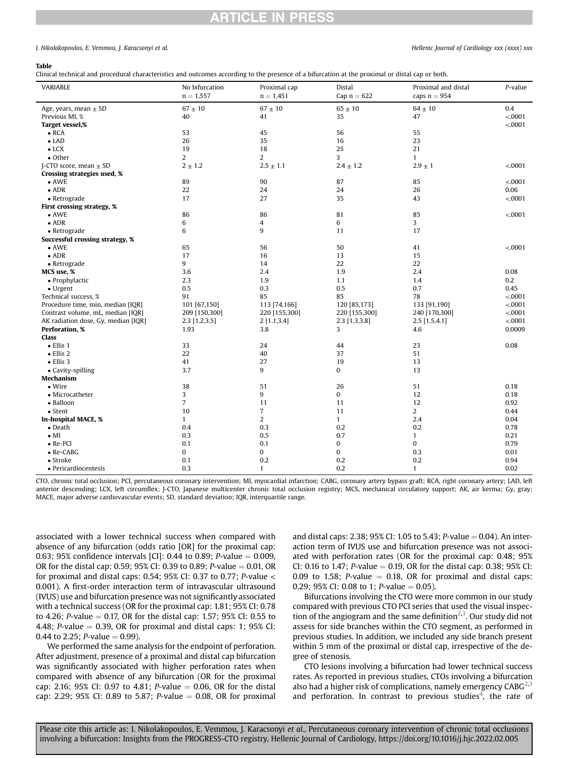### **RTICLE IN PRESS**

#### I. Nikolakopoulos, E. Vemmou, I. Karacsonyi et al. Hellenic Journal of Cardiology xxx (xxxx) xxx

#### <span id="page-3-0"></span>Table

Clinical technical and procedural characteristics and outcomes according to the presence of a bifurcation at the proximal or distal cap or both.

| VARIABLE                            | No bifurcation<br>$n = 1,557$ | Proximal cap<br>$n = 1,451$ | Distal<br>Cap $n = 622$ | Proximal and distal<br>caps $n = 954$ | P-value |
|-------------------------------------|-------------------------------|-----------------------------|-------------------------|---------------------------------------|---------|
| Age, years, mean $\pm$ SD           | $67\pm10$                     | $67\pm10$                   | $65\pm10$               | $64\pm10$                             | $0.4\,$ |
| Previous MI, %                      | 40                            | 41                          | 35                      | 47                                    | < .0001 |
| Target vessel,%                     |                               |                             |                         |                                       | < .0001 |
| $\bullet$ RCA                       | 53                            | 45                          | 56                      | 55                                    |         |
| $\bullet$ LAD                       | 26                            | 35                          | 16                      | 23                                    |         |
| $\bullet$ LCX                       | 19                            | 18                          | 25                      | 21                                    |         |
| $\bullet$ Other                     | 2                             | 2                           | 3                       | $\mathbf{1}$                          |         |
| J-CTO score, mean $\pm$ SD          | $2 \pm 1.2$                   | $2.5 \pm 1.1$               | $2.4 \pm 1.2$           | $2.9 \pm 1$                           | < .0001 |
| Crossing strategies used, %         |                               |                             |                         |                                       |         |
| $\bullet$ AWE                       | 89                            | 90                          | 87                      | 85                                    | < .0001 |
| $\bullet$ ADR                       | 22                            | 24                          | 24                      | 26                                    | 0.06    |
| • Retrograde                        | 17                            | 27                          | 35                      | 43                                    | < .0001 |
| First crossing strategy, %          |                               |                             |                         |                                       |         |
| $\bullet$ AWE                       | 86                            | 86                          | 81                      | 85                                    | < .0001 |
| $\bullet$ ADR                       | 6                             | 4                           | 6                       | 3                                     |         |
| $\bullet$ Retrograde                | 6                             | 9                           | 11                      | 17                                    |         |
| Successful crossing strategy, %     |                               |                             |                         |                                       |         |
| $\bullet$ AWE                       | 65                            | 56                          | 50                      | 41                                    | < .0001 |
| $\bullet$ ADR                       | 17                            | 16                          | 13                      | 15                                    |         |
| • Retrograde                        | 9                             | 14                          | 22                      | 22                                    |         |
| MCS use, %                          | 3.6                           | 2.4                         | 1.9                     | 2.4                                   | 0.08    |
| • Prophylactic                      | 2.3                           | 1.9                         | 1.1                     | 1.4                                   | $0.2\,$ |
| $\bullet$ Urgent                    | 0.5                           | 0.3                         | 0.5                     | 0.7                                   | 0.45    |
| Technical success, %                | 91                            | 85                          | 85                      | 78                                    | < .0001 |
| Procedure time, min, median [IQR]   | 101 [67,150]                  | 113 [74,166]                | 120 [85,173]            | 133 [91,190]                          | < .0001 |
| Contrast volume, mL, median [IQR]   | 209 [150,300]                 | 220 [155,300]               | 220 [155,300]           | 240 [170,300]                         | < 0001  |
| AK radiation dose, Gy, median [IQR] | $2.3$ [1.2,3.5]               | 2[1.1, 3.4]                 | $2.3$ [1.3,3.8]         | $2.5$ [1.5,4.1]                       | < .0001 |
| Perforation, %                      | 1.93                          | 3.8                         | 3                       | 4.6                                   | 0.0009  |
| <b>Class</b>                        |                               |                             |                         |                                       |         |
| $\bullet$ Ellis 1                   | 33                            | 24                          | 44                      | 23                                    | 0.08    |
| $\bullet$ Ellis 2                   | 22                            | 40                          | 37                      | 51                                    |         |
| $\bullet$ Ellis 3                   | 41                            | 27                          | 19                      | 13                                    |         |
| • Cavity-spilling                   | 3.7                           | 9                           | 0                       | 13                                    |         |
| Mechanism                           |                               |                             |                         |                                       |         |
| $\bullet$ Wire                      | 38                            | 51                          | 26                      | 51                                    | 0.18    |
| • Microcatheter                     | 3                             | 9                           | $\bf{0}$                | 12                                    | 0.18    |
| • Balloon                           | $\overline{7}$                | 11                          | 11                      | 12                                    | 0.92    |
| $\bullet$ Stent                     | 10                            | $\overline{7}$              | 11                      | $\overline{2}$                        | 0.44    |
| In-hospital MACE, %                 | $\mathbf{1}$                  | $\overline{2}$              | $\mathbf{1}$            | 2.4                                   | 0.04    |
| $\bullet$ Death                     | 0.4                           | 0.3                         | 0.2                     | 0.2                                   | 0.78    |
| $\bullet$ MI                        | 0.3                           | 0.5                         | 0.7                     | $\mathbf{1}$                          | 0.21    |
| $\bullet$ Re-PCI                    | 0.1                           | 0.1                         | 0                       | $\mathbf{0}$                          | 0.79    |
| $\bullet$ Re-CABG                   | 0                             | 0                           | 0                       | 0.3                                   | 0.01    |
| • Stroke                            | 0.1                           | 0.2                         | 0.2                     | 0.2                                   | 0.94    |
| • Pericardiocentesis                | 0.3                           | $\mathbf{1}$                | 0.2                     | $\mathbf{1}$                          | 0.02    |

CTO, chronic total occlusion; PCI, percutaneous coronary intervention; MI, myocardial infarction; CABG, coronary artery bypass graft; RCA, right coronary artery; LAD, left anterior descending; LCX, left circumflex; J-CTO, Japanese multicenter chronic total occlusion registry; MCS, mechanical circulatory support; AK, air kerma; Gy, gray; MACE, major adverse cardiovascular events; SD, standard deviation; IQR, interquartile range.

associated with a lower technical success when compared with absence of any bifurcation (odds ratio [OR] for the proximal cap: 0.63; 95% confidence intervals [CI]: 0.44 to 0.89; *P*-value  $= 0.009$ , OR for the distal cap: 0.59; 95% CI: 0.39 to 0.89; P-value  $= 0.01$ , OR for proximal and distal caps: 0.54; 95% CI: 0.37 to 0.77; P-value  $<$ 0.001). A first-order interaction term of intravascular ultrasound (IVUS) use and bifurcation presence was not significantly associated with a technical success (OR for the proximal cap: 1.81; 95% CI: 0.78 to 4.26; P-value  $= 0.17$ , OR for the distal cap: 1.57; 95% CI: 0.55 to 4.48; P-value  $= 0.39$ , OR for proximal and distal caps: 1; 95% CI: 0.44 to 2.25; P-value  $= 0.99$ ).

We performed the same analysis for the endpoint of perforation. After adjustment, presence of a proximal and distal cap bifurcation was significantly associated with higher perforation rates when compared with absence of any bifurcation (OR for the proximal cap: 2.16; 95% CI: 0.97 to 4.81; *P*-value  $= 0.06$ , OR for the distal cap: 2.29; 95% CI: 0.89 to 5.87; P-value  $= 0.08$ , OR for proximal

and distal caps: 2.38; 95% CI: 1.05 to 5.43; P-value = 0.04). An interaction term of IVUS use and bifurcation presence was not associated with perforation rates (OR for the proximal cap: 0.48; 95% CI: 0.16 to 1.47; P-value = 0.19, OR for the distal cap: 0.38; 95% CI: 0.09 to 1.58; P-value  $=$  0.18, OR for proximal and distal caps: 0.29; 95% CI: 0.08 to 1; P-value = 0.05).

Bifurcations involving the CTO were more common in our study compared with previous CTO PCI series that used the visual inspec-tion of the angiogram and the same definition<sup>2,[3](#page-4-3)</sup>. Our study did not assess for side branches within the CTO segment, as performed in previous studies. In addition, we included any side branch present within 5 mm of the proximal or distal cap, irrespective of the degree of stenosis.

CTO lesions involving a bifurcation had lower technical success rates. As reported in previous studies, CTOs involving a bifurcation also had a higher risk of complications, namely emergency  $CABG<sup>2,3</sup>$  $CABG<sup>2,3</sup>$  $CABG<sup>2,3</sup>$ and perforation. In contrast to previous studies<sup>[4](#page-4-4)</sup>, the rate of

Please cite this article as: I. Nikolakopoulos, E. Vemmou, J. Karacsonyi et al., Percutaneous coronary intervention of chronic total occlusions involving a bifurcation: Insights from the PROGRESS-CTO registry, Hellenic Journal of Cardiology, https://doi.org/10.1016/j.hjc.2022.02.005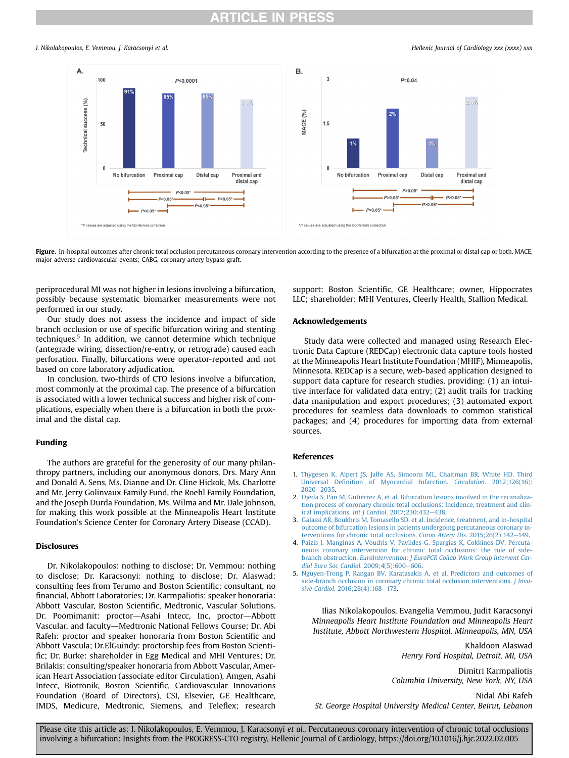### RTICLE IN PRES

<span id="page-4-1"></span>I. Nikolakopoulos, E. Vemmou, I. Karacsonyi et al. Hellenic Journal of Cardiology xxx (xxxx) xxx



Figure. In-hospital outcomes after chronic total occlusion percutaneous coronary intervention according to the presence of a bifurcation at the proximal or distal cap or both. MACE, major adverse cardiovascular events; CABG, coronary artery bypass graft.

periprocedural MI was not higher in lesions involving a bifurcation, possibly because systematic biomarker measurements were not performed in our study.

Our study does not assess the incidence and impact of side branch occlusion or use of specific bifurcation wiring and stenting techniques.<sup>[5](#page-4-5)</sup> In addition, we cannot determine which technique (antegrade wiring, dissection/re-entry, or retrograde) caused each perforation. Finally, bifurcations were operator-reported and not based on core laboratory adjudication.

In conclusion, two-thirds of CTO lesions involve a bifurcation, most commonly at the proximal cap. The presence of a bifurcation is associated with a lower technical success and higher risk of complications, especially when there is a bifurcation in both the proximal and the distal cap.

#### Funding

The authors are grateful for the generosity of our many philanthropy partners, including our anonymous donors, Drs. Mary Ann and Donald A. Sens, Ms. Dianne and Dr. Cline Hickok, Ms. Charlotte and Mr. Jerry Golinvaux Family Fund, the Roehl Family Foundation, and the Joseph Durda Foundation, Ms. Wilma and Mr. Dale Johnson, for making this work possible at the Minneapolis Heart Institute Foundation's Science Center for Coronary Artery Disease (CCAD).

#### Disclosures

Dr. Nikolakopoulos: nothing to disclose; Dr. Vemmou: nothing to disclose; Dr. Karacsonyi: nothing to disclose; Dr. Alaswad: consulting fees from Terumo and Boston Scientific; consultant, no financial, Abbott Laboratories; Dr. Karmpaliotis: speaker honoraria: Abbott Vascular, Boston Scientific, Medtronic, Vascular Solutions. Dr. Poomimanit: proctor-Asahi Intecc, Inc, proctor-Abbott Vascular, and faculty-Medtronic National Fellows Course; Dr. Abi Rafeh: proctor and speaker honoraria from Boston Scientific and Abbott Vascula; Dr.ElGuindy: proctorship fees from Boston Scientific; Dr. Burke: shareholder in Egg Medical and MHI Ventures; Dr. Brilakis: consulting/speaker honoraria from Abbott Vascular, American Heart Association (associate editor Circulation), Amgen, Asahi Intecc, Biotronik, Boston Scientific, Cardiovascular Innovations Foundation (Board of Directors), CSI, Elsevier, GE Healthcare, IMDS, Medicure, Medtronic, Siemens, and Teleflex; research support: Boston Scientific, GE Healthcare; owner, Hippocrates LLC; shareholder: MHI Ventures, Cleerly Health, Stallion Medical.

### Acknowledgements

Study data were collected and managed using Research Electronic Data Capture (REDCap) electronic data capture tools hosted at the Minneapolis Heart Institute Foundation (MHIF), Minneapolis, Minnesota. REDCap is a secure, web-based application designed to support data capture for research studies, providing: (1) an intuitive interface for validated data entry; (2) audit trails for tracking data manipulation and export procedures; (3) automated export procedures for seamless data downloads to common statistical packages; and (4) procedures for importing data from external sources.

#### References

- <span id="page-4-0"></span>1. [Thygesen K, Alpert JS, Jaffe AS, Simoons ML, Chaitman BR, White HD. Third](http://refhub.elsevier.com/S1109-9666(22)00025-2/sref1) Universal Defi[nition of Myocardial Infarction.](http://refhub.elsevier.com/S1109-9666(22)00025-2/sref1) Circulation. 2012;126(16):  $2020 - 2035.$  $2020 - 2035.$  $2020 - 2035.$
- <span id="page-4-2"></span>2. Ojeda S, Pan M, Gutiérrez A, et al. Bifurcation lesions involved in the recanaliza[tion process of coronary chronic total occlusions: Incidence, treatment and clin](http://refhub.elsevier.com/S1109-9666(22)00025-2/sref2)[ical implications.](http://refhub.elsevier.com/S1109-9666(22)00025-2/sref2) Int J Cardiol.  $2017;230:432-438$  $2017;230:432-438$ .
- <span id="page-4-3"></span>3. [Galassi AR, Boukhris M, Tomasello SD, et al. Incidence, treatment, and in-hospital](http://refhub.elsevier.com/S1109-9666(22)00025-2/sref3) [outcome of bifurcation lesions in patients undergoing percutaneous coronary in](http://refhub.elsevier.com/S1109-9666(22)00025-2/sref3)[terventions for chronic total occlusions.](http://refhub.elsevier.com/S1109-9666(22)00025-2/sref3) Coron Artery Dis. 2015;26(2):142-[149.](http://refhub.elsevier.com/S1109-9666(22)00025-2/sref3)
- <span id="page-4-4"></span>4. [Paizis I, Manginas A, Voudris V, Pavlides G, Spargias K, Cokkinos DV. Percuta](http://refhub.elsevier.com/S1109-9666(22)00025-2/sref4)[neous coronary intervention for chronic total occlusions: the role of side-](http://refhub.elsevier.com/S1109-9666(22)00025-2/sref4)branch obstruction. [EuroIntervention: J EuroPCR Collab Work Group Intervent Car](http://refhub.elsevier.com/S1109-9666(22)00025-2/sref4)[diol Euro Soc Cardiol](http://refhub.elsevier.com/S1109-9666(22)00025-2/sref4). 2009;4(5):600-[606](http://refhub.elsevier.com/S1109-9666(22)00025-2/sref4).
- <span id="page-4-5"></span>5. [Nguyen-Trong P, Rangan BV, Karatasakis A, et al. Predictors and outcomes of](http://refhub.elsevier.com/S1109-9666(22)00025-2/sref5) [side-branch occlusion in coronary chronic total occlusion interventions.](http://refhub.elsevier.com/S1109-9666(22)00025-2/sref5) J Inva-sive Cardiol[. 2016;28\(4\):168](http://refhub.elsevier.com/S1109-9666(22)00025-2/sref5)-[173.](http://refhub.elsevier.com/S1109-9666(22)00025-2/sref5)

Ilias Nikolakopoulos, Evangelia Vemmou, Judit Karacsonyi Minneapolis Heart Institute Foundation and Minneapolis Heart Institute, Abbott Northwestern Hospital, Minneapolis, MN, USA

> Khaldoon Alaswad Henry Ford Hospital, Detroit, MI, USA

Dimitri Karmpaliotis Columbia University, New York, NY, USA

Nidal Abi Rafeh

St. George Hospital University Medical Center, Beirut, Lebanon

Please cite this article as: I. Nikolakopoulos, E. Vemmou, J. Karacsonyi et al., Percutaneous coronary intervention of chronic total occlusions involving a bifurcation: Insights from the PROGRESS-CTO registry, Hellenic Journal of Cardiology, https://doi.org/10.1016/j.hjc.2022.02.005